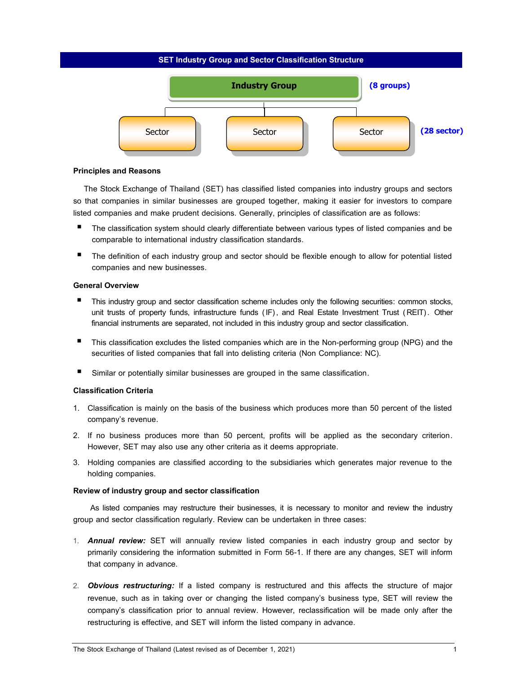# **SET Industry Group and Sector Classification Structure**



#### **Principles and Reasons**

The Stock Exchange of Thailand (SET) has classified listed companies into industry groups and sectors so that companies in similar businesses are grouped together, making it easier for investors to compare listed companies and make prudent decisions. Generally, principles of classification are as follows:

- The classification system should clearly differentiate between various types of listed companies and be comparable to international industry classification standards.
- The definition of each industry group and sector should be flexible enough to allow for potential listed companies and new businesses.

## **General Overview**

- This industry group and sector classification scheme includes only the following securities: common stocks, unit trusts of property funds, infrastructure funds (IF), and Real Estate Investment Trust (REIT). Other financial instruments are separated, not included in this industry group and sector classification.
- This classification excludes the listed companies which are in the Non-performing group (NPG) and the securities of listed companies that fall into delisting criteria (Non Compliance: NC).
- Similar or potentially similar businesses are grouped in the same classification.

### **Classification Criteria**

- 1. Classification is mainly on the basis of the business which produces more than 50 percent of the listed company's revenue.
- 2. If no business produces more than 50 percent, profits will be applied as the secondary criterion. However, SET may also use any other criteria as it deems appropriate.
- 3. Holding companies are classified according to the subsidiaries which generates major revenue to the holding companies.

#### **Review of industry group and sector classification**

As listed companies may restructure their businesses, it is necessary to monitor and review the industry group and sector classification regularly. Review can be undertaken in three cases:

- 1. *Annual review:* SET will annually review listed companies in each industry group and sector by primarily considering the information submitted in Form 56-1. If there are any changes, SET will inform that company in advance.
- 2. *Obvious restructuring:* If a listed company is restructured and this affects the structure of major revenue, such as in taking over or changing the listed company's business type, SET will review the company's classification prior to annual review. However, reclassification will be made only after the restructuring is effective, and SET will inform the listed company in advance.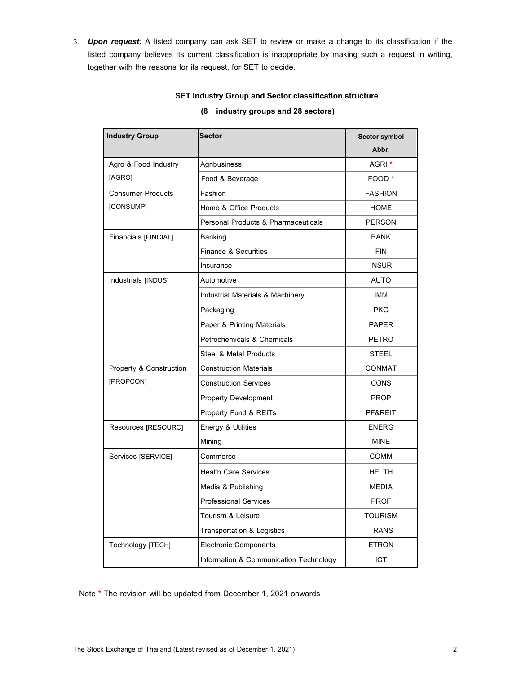3. *Upon request:* A listed company can ask SET to review or make a change to its classification if the listed company believes its current classification is inappropriate by making such a request in writing, together with the reasons for its request, for SET to decide.

# **SET Industry Group and Sector classification structure**

| <b>Industry Group</b>                | Sector                                 | Sector symbol<br>Abbr. |
|--------------------------------------|----------------------------------------|------------------------|
| Agro & Food Industry                 | Agribusiness                           | AGRI <sup>*</sup>      |
| [AGRO]                               | Food & Beverage                        | FOOD <sup>*</sup>      |
| <b>Consumer Products</b>             | Fashion                                | <b>FASHION</b>         |
| [CONSUMP]                            | Home & Office Products                 | <b>HOME</b>            |
|                                      | Personal Products & Pharmaceuticals    | <b>PERSON</b>          |
| Financials [FINCIAL]                 | Banking                                | <b>BANK</b>            |
|                                      | <b>Finance &amp; Securities</b>        | <b>FIN</b>             |
|                                      | Insurance                              | <b>INSUR</b>           |
| Industrials [INDUS]                  | Automotive                             | <b>AUTO</b>            |
|                                      | Industrial Materials & Machinery       | <b>IMM</b>             |
|                                      | Packaging                              | <b>PKG</b>             |
|                                      | Paper & Printing Materials             | <b>PAPER</b>           |
|                                      | Petrochemicals & Chemicals             | <b>PETRO</b>           |
|                                      | Steel & Metal Products                 | <b>STEEL</b>           |
| Property & Construction<br>[PROPCON] | <b>Construction Materials</b>          | <b>CONMAT</b>          |
|                                      | <b>Construction Services</b>           | CONS                   |
|                                      | <b>Property Development</b>            | <b>PROP</b>            |
|                                      | Property Fund & REITs                  | PF&REIT                |
| Resources [RESOURC]                  | Energy & Utilities                     | <b>ENERG</b>           |
|                                      | Mining                                 | <b>MINE</b>            |
| Services [SERVICE]                   | Commerce                               | <b>COMM</b>            |
|                                      | <b>Health Care Services</b>            | <b>HELTH</b>           |
|                                      | Media & Publishing                     | <b>MEDIA</b>           |
|                                      | <b>Professional Services</b>           | <b>PROF</b>            |
|                                      | Tourism & Leisure                      | <b>TOURISM</b>         |
|                                      | Transportation & Logistics             | <b>TRANS</b>           |
| Technology [TECH]                    | <b>Electronic Components</b>           | <b>ETRON</b>           |
|                                      | Information & Communication Technology | <b>ICT</b>             |

## **(8 industry groups and 28 sectors)**

Note \* The revision will be updated from December 1, 2021 onwards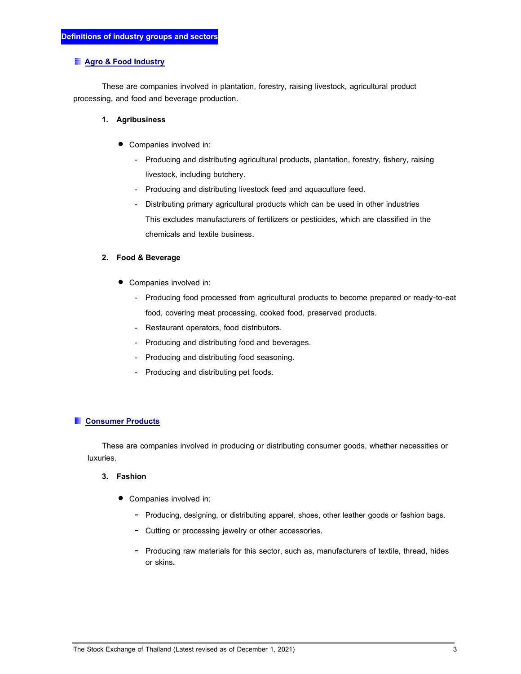# **Agro & Food Industry**

These are companies involved in plantation, forestry, raising livestock, agricultural product processing, and food and beverage production.

### **1. Agribusiness**

- Companies involved in:
	- Producing and distributing agricultural products, plantation, forestry, fishery, raising livestock, including butchery.
	- Producing and distributing livestock feed and aquaculture feed.
	- Distributing primary agricultural products which can be used in other industries This excludes manufacturers of fertilizers or pesticides, which are classified in the chemicals and textile business.

## **2. Food & Beverage**

- Companies involved in:
	- Producing food processed from agricultural products to become prepared or ready-to-eat food, covering meat processing, cooked food, preserved products.
	- Restaurant operators, food distributors.
	- Producing and distributing food and beverages.
	- Producing and distributing food seasoning.
	- Producing and distributing pet foods.

# **Consumer Products**

These are companies involved in producing or distributing consumer goods, whether necessities or luxuries.

### **3. Fashion**

- Companies involved in:
	- Producing, designing, or distributing apparel, shoes, other leather goods or fashion bags.
	- Cutting or processing jewelry or other accessories.
	- Producing raw materials for this sector, such as, manufacturers of textile, thread, hides or skins**.**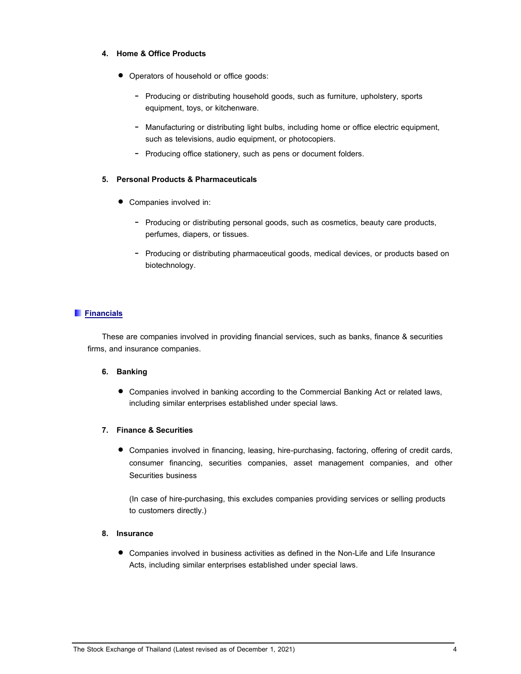## **4. Home & Office Products**

- Operators of household or office goods:
	- Producing or distributing household goods, such as furniture, upholstery, sports equipment, toys, or kitchenware.
	- Manufacturing or distributing light bulbs, including home or office electric equipment, such as televisions, audio equipment, or photocopiers.
	- Producing office stationery, such as pens or document folders.

## **5. Personal Products & Pharmaceuticals**

- Companies involved in:
	- Producing or distributing personal goods, such as cosmetics, beauty care products, perfumes, diapers, or tissues.
	- Producing or distributing pharmaceutical goods, medical devices, or products based on biotechnology.

## **Financials**

These are companies involved in providing financial services, such as banks, finance & securities firms, and insurance companies.

### **6. Banking**

• Companies involved in banking according to the Commercial Banking Act or related laws, including similar enterprises established under special laws.

### **7. Finance & Securities**

• Companies involved in financing, leasing, hire-purchasing, factoring, offering of credit cards, consumer financing, securities companies, asset management companies, and other Securities business

(In case of hire-purchasing, this excludes companies providing services or selling products to customers directly.)

## **8. Insurance**

• Companies involved in business activities as defined in the Non-Life and Life Insurance Acts, including similar enterprises established under special laws.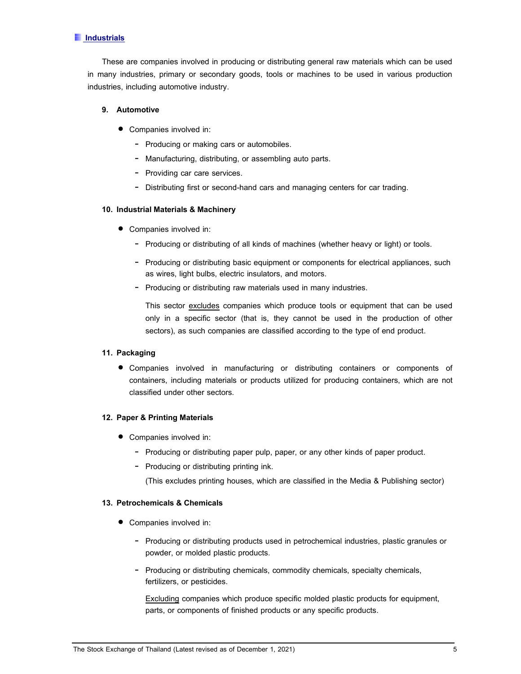## **Industrials**

These are companies involved in producing or distributing general raw materials which can be used in many industries, primary or secondary goods, tools or machines to be used in various production industries, including automotive industry.

### **9. Automotive**

- Companies involved in:
	- Producing or making cars or automobiles.
	- Manufacturing, distributing, or assembling auto parts.
	- Providing car care services.
	- Distributing first or second-hand cars and managing centers for car trading.

## **10. Industrial Materials & Machinery**

- Companies involved in:
	- Producing or distributing of all kinds of machines (whether heavy or light) or tools.
	- Producing or distributing basic equipment or components for electrical appliances, such as wires, light bulbs, electric insulators, and motors.
	- Producing or distributing raw materials used in many industries.

This sector excludes companies which produce tools or equipment that can be used only in a specific sector (that is, they cannot be used in the production of other sectors), as such companies are classified according to the type of end product.

## **11. Packaging**

• Companies involved in manufacturing or distributing containers or components of containers, including materials or products utilized for producing containers, which are not classified under other sectors.

## **12. Paper & Printing Materials**

- Companies involved in:
	- Producing or distributing paper pulp, paper, or any other kinds of paper product.
	- Producing or distributing printing ink.

(This excludes printing houses, which are classified in the Media & Publishing sector)

## **13. Petrochemicals & Chemicals**

- Companies involved in:
	- Producing or distributing products used in petrochemical industries, plastic granules or powder, or molded plastic products.
	- Producing or distributing chemicals, commodity chemicals, specialty chemicals, fertilizers, or pesticides.

Excluding companies which produce specific molded plastic products for equipment, parts, or components of finished products or any specific products.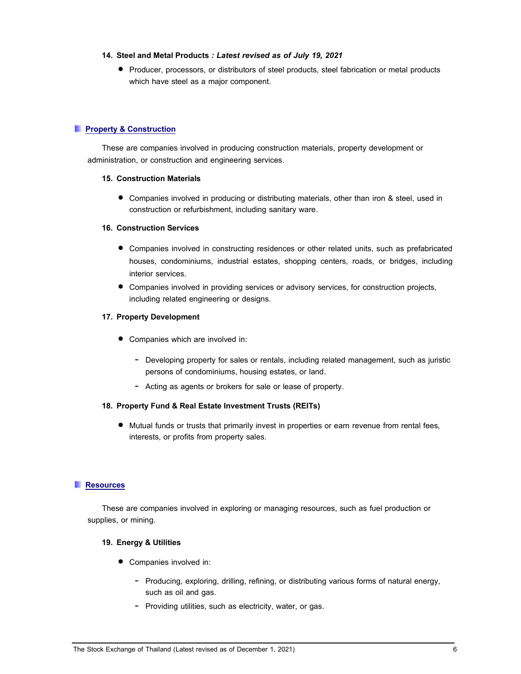### **14. Steeland Metal Products** *: Latest revised as of July 19, 2021*

• Producer, processors, or distributors of steel products, steel fabrication or metal products which have steel as a major component.

## **Property & Construction**

These are companies involved in producing construction materials, property development or administration, or construction and engineering services.

### **15. Construction Materials**

• Companies involved in producing or distributing materials, other than iron & steel, used in construction or refurbishment, including sanitary ware.

#### **16. Construction Services**

- Companies involved in constructing residences or other related units, such as prefabricated houses, condominiums, industrial estates, shopping centers, roads, or bridges, including interior services.
- Companies involved in providing services or advisory services, for construction projects, including related engineering or designs.

### **17. Property Development**

- Companies which are involved in:
	- Developing property for sales or rentals, including related management, such as juristic persons of condominiums, housing estates, or land.
	- Acting as agents or brokers for sale or lease of property.

### **18. Property Fund & Real Estate Investment Trusts (REITs)**

• Mutual funds or trusts that primarily invest in properties or earn revenue from rental fees, interests, or profits from property sales.

### **Resources**

These are companies involved in exploring or managing resources, such as fuel production or supplies, or mining.

### **19. Energy & Utilities**

- Companies involved in:
	- Producing, exploring, drilling, refining, or distributing various forms of natural energy, such as oil and gas.
	- Providing utilities, such as electricity, water, or gas.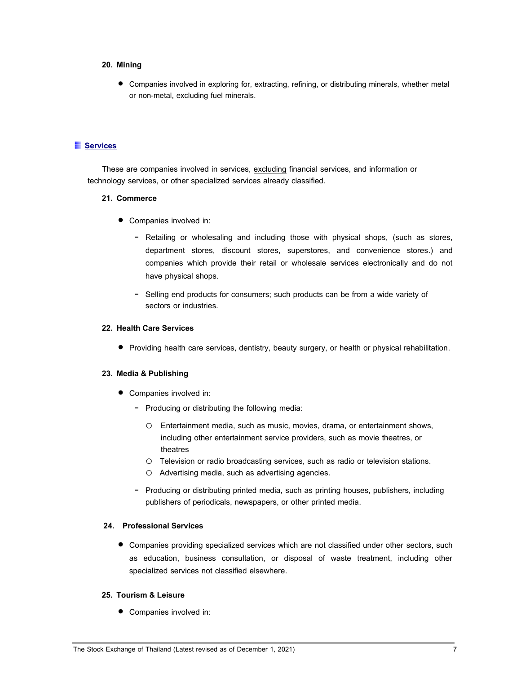### **20. Mining**

• Companies involved in exploring for, extracting, refining, or distributing minerals, whether metal or non-metal, excluding fuel minerals.

## **Services**

These are companies involved in services, excluding financial services, and information or technology services, or other specialized services already classified.

## **21. Commerce**

- Companies involved in:
	- Retailing or wholesaling and including those with physical shops, (such as stores, department stores, discount stores, superstores, and convenience stores.) and companies which provide their retail or wholesale services electronically and do not have physical shops.
	- Selling end products for consumers; such products can be from a wide variety of sectors or industries.

#### **22. Health Care Services**

• Providing health care services, dentistry, beauty surgery, or health or physical rehabilitation.

## **23. Media & Publishing**

- Companies involved in:
	- Producing or distributing the following media:
		- o Entertainment media, such as music, movies, drama, or entertainment shows, including other entertainment service providers, such as movie theatres, or theatres
		- o Television or radio broadcasting services, such as radio or television stations.
		- o Advertising media, such as advertising agencies.
	- Producing or distributing printed media, such as printing houses, publishers, including publishers of periodicals, newspapers, or other printed media.

#### **24. Professional Services**

• Companies providing specialized services which are not classified under other sectors, such as education, business consultation, or disposal of waste treatment, including other specialized services not classified elsewhere.

### **25. Tourism & Leisure**

• Companies involved in: